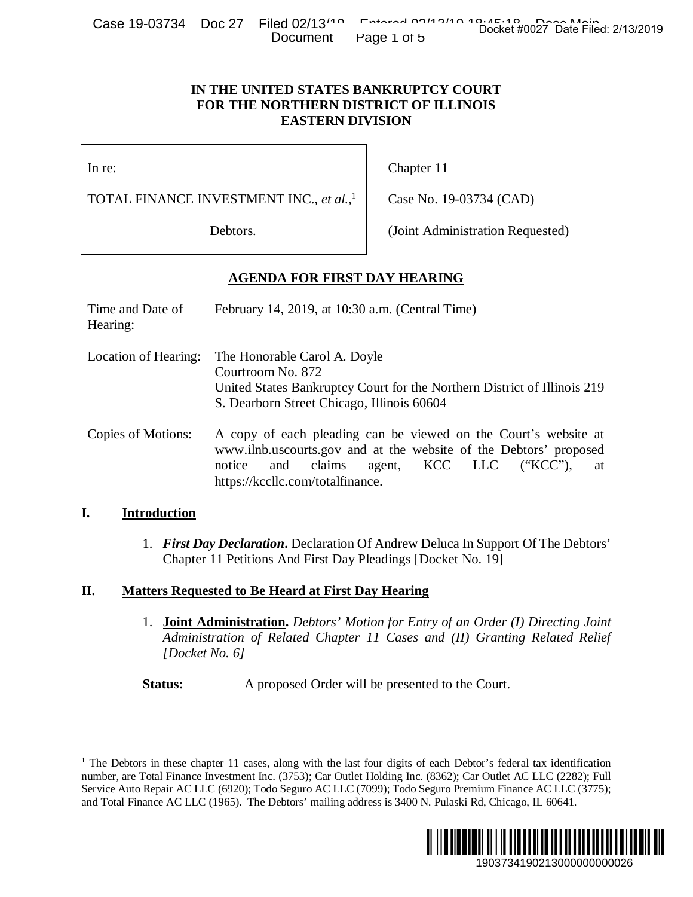Case 19-03734 Doc 27 Filed 02/13<sup>14</sup> Entered 02/13<sup>14</sup> Docket #0027 Date Filed: 2/13/2019 Document Page 1 of 5

# **IN THE UNITED STATES BANKRUPTCY COURT FOR THE NORTHERN DISTRICT OF ILLINOIS EASTERN DIVISION**

# **AGENDA FOR FIRST DAY HEARING**

| Cape 19-001.04 DUC 21                               | <b>FIICU UZI 10</b><br>Document                                                                                                                                                                                                                         | Docket #0027 Date Filed: 2/13/2019<br>Page 1 of 5                                                                                                                                                                                                                                                                                                                                                                                                            |
|-----------------------------------------------------|---------------------------------------------------------------------------------------------------------------------------------------------------------------------------------------------------------------------------------------------------------|--------------------------------------------------------------------------------------------------------------------------------------------------------------------------------------------------------------------------------------------------------------------------------------------------------------------------------------------------------------------------------------------------------------------------------------------------------------|
|                                                     | IN THE UNITED STATES BANKRUPTCY COURT<br>FOR THE NORTHERN DISTRICT OF ILLINOIS<br><b>EASTERN DIVISION</b>                                                                                                                                               |                                                                                                                                                                                                                                                                                                                                                                                                                                                              |
| In re:                                              |                                                                                                                                                                                                                                                         | Chapter 11                                                                                                                                                                                                                                                                                                                                                                                                                                                   |
| TOTAL FINANCE INVESTMENT INC., et al., <sup>1</sup> |                                                                                                                                                                                                                                                         | Case No. 19-03734 (CAD)                                                                                                                                                                                                                                                                                                                                                                                                                                      |
| Debtors.                                            |                                                                                                                                                                                                                                                         | (Joint Administration Requested)                                                                                                                                                                                                                                                                                                                                                                                                                             |
|                                                     | <b>AGENDA FOR FIRST DAY HEARING</b>                                                                                                                                                                                                                     |                                                                                                                                                                                                                                                                                                                                                                                                                                                              |
| Time and Date of<br>Hearing:                        | February 14, 2019, at 10:30 a.m. (Central Time)                                                                                                                                                                                                         |                                                                                                                                                                                                                                                                                                                                                                                                                                                              |
| Location of Hearing:                                | The Honorable Carol A. Doyle<br>Courtroom No. 872<br>United States Bankruptcy Court for the Northern District of Illinois 219<br>S. Dearborn Street Chicago, Illinois 60604                                                                             |                                                                                                                                                                                                                                                                                                                                                                                                                                                              |
| <b>Copies of Motions:</b>                           | A copy of each pleading can be viewed on the Court's website at<br>www.ilnb.uscourts.gov and at the website of the Debtors' proposed<br>and<br>claims<br><b>KCC</b><br>notice<br>LLC<br>$(*KCC$ "),<br>agent,<br>at<br>https://kccllc.com/totalfinance. |                                                                                                                                                                                                                                                                                                                                                                                                                                                              |
| <b>Introduction</b>                                 |                                                                                                                                                                                                                                                         |                                                                                                                                                                                                                                                                                                                                                                                                                                                              |
|                                                     | Chapter 11 Petitions And First Day Pleadings [Docket No. 19]                                                                                                                                                                                            | 1. First Day Declaration. Declaration Of Andrew Deluca In Support Of The Debtors'                                                                                                                                                                                                                                                                                                                                                                            |
| Ί.                                                  | <b>Matters Requested to Be Heard at First Day Hearing</b>                                                                                                                                                                                               |                                                                                                                                                                                                                                                                                                                                                                                                                                                              |
| 1.<br>[Docket No. $6$ ]                             |                                                                                                                                                                                                                                                         | <b>Joint Administration.</b> Debtors' Motion for Entry of an Order (I) Directing Joint<br>Administration of Related Chapter 11 Cases and (II) Granting Related Relief                                                                                                                                                                                                                                                                                        |
| Status:                                             |                                                                                                                                                                                                                                                         | A proposed Order will be presented to the Court.                                                                                                                                                                                                                                                                                                                                                                                                             |
|                                                     |                                                                                                                                                                                                                                                         | The Debtors in these chapter 11 cases, along with the last four digits of each Debtor's federal tax identification<br>uumber, are Total Finance Investment Inc. (3753); Car Outlet Holding Inc. (8362); Car Outlet AC LLC (2282); Full<br>Service Auto Repair AC LLC (6920); Todo Seguro AC LLC (7099); Todo Seguro Premium Finance AC LLC (3775);<br>nd Total Finance AC LLC (1965). The Debtors' mailing address is 3400 N. Pulaski Rd, Chicago, IL 60641. |
|                                                     |                                                                                                                                                                                                                                                         | <b>IIIII</b><br>1903734190213000000000026                                                                                                                                                                                                                                                                                                                                                                                                                    |

## **I. Introduction**

## **II. Matters Requested to Be Heard at First Day Hearing**

 $\overline{a}$ <sup>1</sup> The Debtors in these chapter 11 cases, along with the last four digits of each Debtor's federal tax identification number, are Total Finance Investment Inc. (3753); Car Outlet Holding Inc. (8362); Car Outlet AC LLC (2282); Full Service Auto Repair AC LLC (6920); Todo Seguro AC LLC (7099); Todo Seguro Premium Finance AC LLC (3775); and Total Finance AC LLC (1965). The Debtors' mailing address is 3400 N. Pulaski Rd, Chicago, IL 60641.

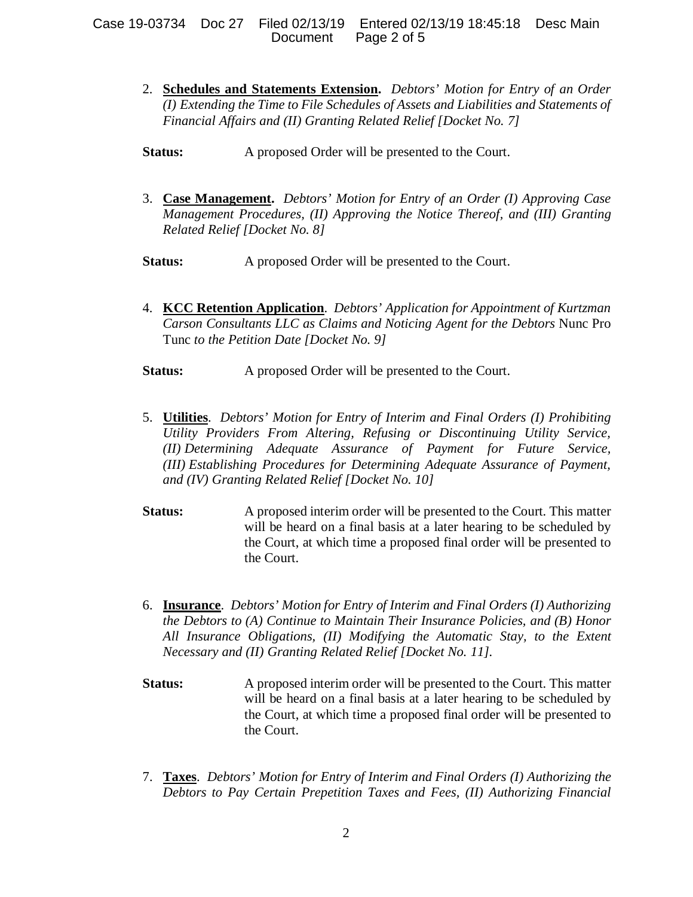- 2. **Schedules and Statements Extension.** *Debtors' Motion for Entry of an Order (I) Extending the Time to File Schedules of Assets and Liabilities and Statements of Financial Affairs and (II) Granting Related Relief [Docket No. 7]*
- **Status:** A proposed Order will be presented to the Court.
- 3. **Case Management.** *Debtors' Motion for Entry of an Order (I) Approving Case Management Procedures, (II) Approving the Notice Thereof, and (III) Granting Related Relief [Docket No. 8]*
- **Status:** A proposed Order will be presented to the Court.
- 4. **KCC Retention Application**. *Debtors' Application for Appointment of Kurtzman Carson Consultants LLC as Claims and Noticing Agent for the Debtors* Nunc Pro Tunc *to the Petition Date [Docket No. 9]*
- **Status:** A proposed Order will be presented to the Court.
- 5. **Utilities**. *Debtors' Motion for Entry of Interim and Final Orders (I) Prohibiting Utility Providers From Altering, Refusing or Discontinuing Utility Service, (II) Determining Adequate Assurance of Payment for Future Service, (III) Establishing Procedures for Determining Adequate Assurance of Payment, and (IV) Granting Related Relief [Docket No. 10]*
- **Status:** A proposed interim order will be presented to the Court. This matter will be heard on a final basis at a later hearing to be scheduled by the Court, at which time a proposed final order will be presented to the Court.
- 6. **Insurance**. *Debtors' Motion for Entry of Interim and Final Orders (I) Authorizing the Debtors to (A) Continue to Maintain Their Insurance Policies, and (B) Honor All Insurance Obligations, (II) Modifying the Automatic Stay, to the Extent Necessary and (II) Granting Related Relief [Docket No. 11].*
- **Status:** A proposed interim order will be presented to the Court. This matter will be heard on a final basis at a later hearing to be scheduled by the Court, at which time a proposed final order will be presented to the Court.
- 7. **Taxes**. *Debtors' Motion for Entry of Interim and Final Orders (I) Authorizing the Debtors to Pay Certain Prepetition Taxes and Fees, (II) Authorizing Financial*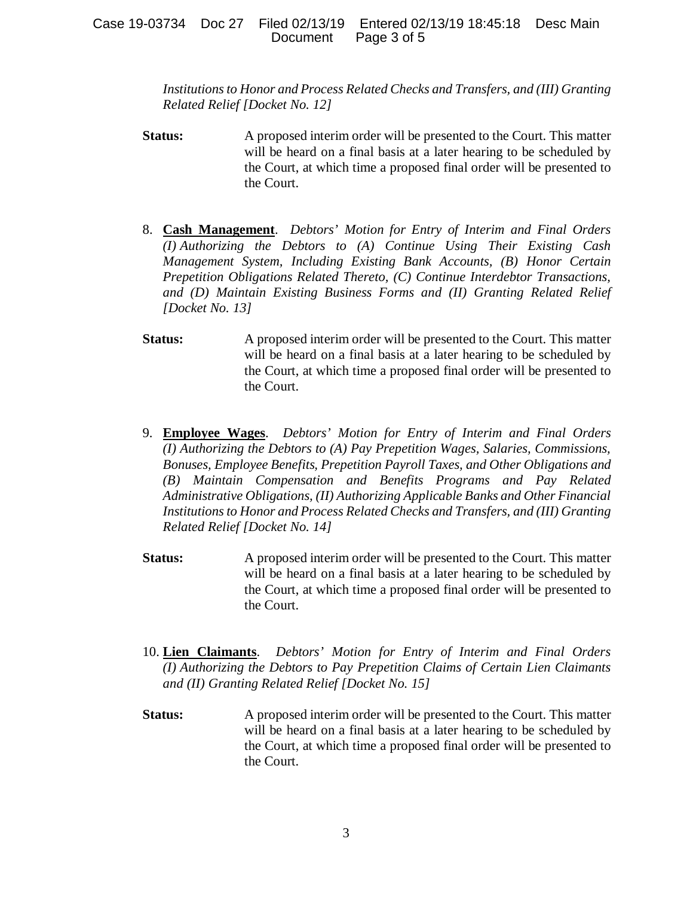*Institutions to Honor and Process Related Checks and Transfers, and (III) Granting Related Relief [Docket No. 12]* 

- **Status:** A proposed interim order will be presented to the Court. This matter will be heard on a final basis at a later hearing to be scheduled by the Court, at which time a proposed final order will be presented to the Court.
- 8. **Cash Management**. *Debtors' Motion for Entry of Interim and Final Orders (I) Authorizing the Debtors to (A) Continue Using Their Existing Cash Management System, Including Existing Bank Accounts, (B) Honor Certain Prepetition Obligations Related Thereto, (C) Continue Interdebtor Transactions, and (D) Maintain Existing Business Forms and (II) Granting Related Relief [Docket No. 13]*
- **Status:** A proposed interim order will be presented to the Court. This matter will be heard on a final basis at a later hearing to be scheduled by the Court, at which time a proposed final order will be presented to the Court.
- 9. **Employee Wages**. *Debtors' Motion for Entry of Interim and Final Orders (I) Authorizing the Debtors to (A) Pay Prepetition Wages, Salaries, Commissions, Bonuses, Employee Benefits, Prepetition Payroll Taxes, and Other Obligations and (B) Maintain Compensation and Benefits Programs and Pay Related Administrative Obligations, (II) Authorizing Applicable Banks and Other Financial Institutions to Honor and Process Related Checks and Transfers, and (III) Granting Related Relief [Docket No. 14]*
- **Status:** A proposed interim order will be presented to the Court. This matter will be heard on a final basis at a later hearing to be scheduled by the Court, at which time a proposed final order will be presented to the Court.
- 10. **Lien Claimants**. *Debtors' Motion for Entry of Interim and Final Orders (I) Authorizing the Debtors to Pay Prepetition Claims of Certain Lien Claimants and (II) Granting Related Relief [Docket No. 15]*
- **Status:** A proposed interim order will be presented to the Court. This matter will be heard on a final basis at a later hearing to be scheduled by the Court, at which time a proposed final order will be presented to the Court.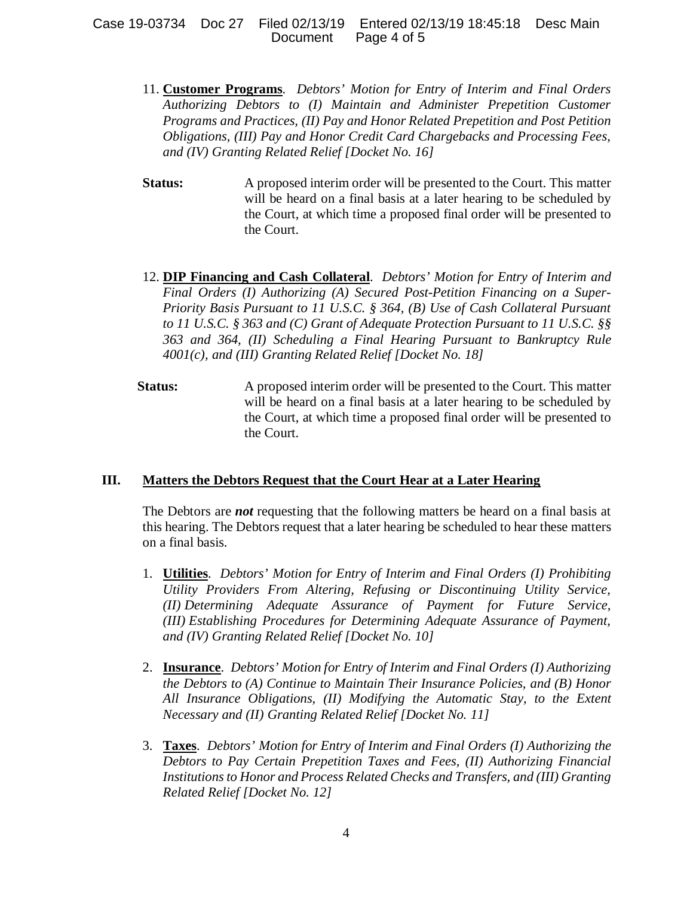### Case 19-03734 Doc 27 Filed 02/13/19 Entered 02/13/19 18:45:18 Desc Main Document Page 4 of 5

- 11. **Customer Programs**. *Debtors' Motion for Entry of Interim and Final Orders Authorizing Debtors to (I) Maintain and Administer Prepetition Customer Programs and Practices, (II) Pay and Honor Related Prepetition and Post Petition Obligations, (III) Pay and Honor Credit Card Chargebacks and Processing Fees, and (IV) Granting Related Relief [Docket No. 16]*
- **Status:** A proposed interim order will be presented to the Court. This matter will be heard on a final basis at a later hearing to be scheduled by the Court, at which time a proposed final order will be presented to the Court.
- 12. **DIP Financing and Cash Collateral**. *Debtors' Motion for Entry of Interim and Final Orders (I) Authorizing (A) Secured Post-Petition Financing on a Super-Priority Basis Pursuant to 11 U.S.C. § 364, (B) Use of Cash Collateral Pursuant to 11 U.S.C. § 363 and (C) Grant of Adequate Protection Pursuant to 11 U.S.C. §§ 363 and 364, (II) Scheduling a Final Hearing Pursuant to Bankruptcy Rule 4001(c), and (III) Granting Related Relief [Docket No. 18]*
- **Status:** A proposed interim order will be presented to the Court. This matter will be heard on a final basis at a later hearing to be scheduled by the Court, at which time a proposed final order will be presented to the Court.

## **III. Matters the Debtors Request that the Court Hear at a Later Hearing**

The Debtors are *not* requesting that the following matters be heard on a final basis at this hearing. The Debtors request that a later hearing be scheduled to hear these matters on a final basis.

- 1. **Utilities**. *Debtors' Motion for Entry of Interim and Final Orders (I) Prohibiting Utility Providers From Altering, Refusing or Discontinuing Utility Service, (II) Determining Adequate Assurance of Payment for Future Service, (III) Establishing Procedures for Determining Adequate Assurance of Payment, and (IV) Granting Related Relief [Docket No. 10]*
- 2. **Insurance**. *Debtors' Motion for Entry of Interim and Final Orders (I) Authorizing the Debtors to (A) Continue to Maintain Their Insurance Policies, and (B) Honor All Insurance Obligations, (II) Modifying the Automatic Stay, to the Extent Necessary and (II) Granting Related Relief [Docket No. 11]*
- 3. **Taxes**. *Debtors' Motion for Entry of Interim and Final Orders (I) Authorizing the Debtors to Pay Certain Prepetition Taxes and Fees, (II) Authorizing Financial Institutions to Honor and Process Related Checks and Transfers, and (III) Granting Related Relief [Docket No. 12]*